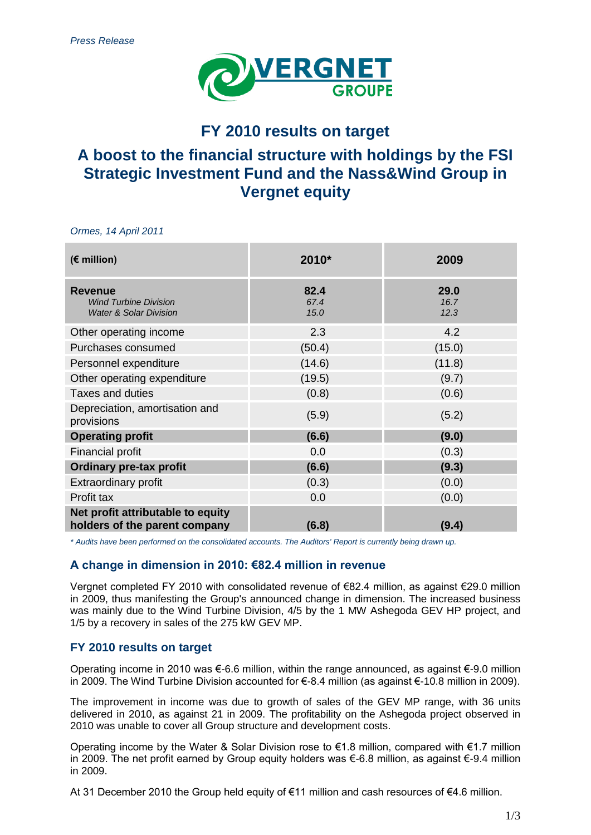

# **FY 2010 results on target**

# **A boost to the financial structure with holdings by the FSI Strategic Investment Fund and the Nass&Wind Group in Vergnet equity**

*Ormes, 14 April 2011*

| (€ million)                                                                         | 2010*                | 2009                 |
|-------------------------------------------------------------------------------------|----------------------|----------------------|
| <b>Revenue</b><br><b>Wind Turbine Division</b><br><b>Water &amp; Solar Division</b> | 82.4<br>67.4<br>15.0 | 29.0<br>16.7<br>12.3 |
| Other operating income                                                              | 2.3                  | 4.2                  |
| Purchases consumed                                                                  | (50.4)               | (15.0)               |
| Personnel expenditure                                                               | (14.6)               | (11.8)               |
| Other operating expenditure                                                         | (19.5)               | (9.7)                |
| Taxes and duties                                                                    | (0.8)                | (0.6)                |
| Depreciation, amortisation and<br>provisions                                        | (5.9)                | (5.2)                |
| <b>Operating profit</b>                                                             | (6.6)                | (9.0)                |
| <b>Financial profit</b>                                                             | 0.0                  | (0.3)                |
| <b>Ordinary pre-tax profit</b>                                                      | (6.6)                | (9.3)                |
| <b>Extraordinary profit</b>                                                         | (0.3)                | (0.0)                |
| Profit tax                                                                          | 0.0                  | (0.0)                |
| Net profit attributable to equity<br>holders of the parent company                  | (6.8)                | (9.4)                |

*\* Audits have been performed on the consolidated accounts. The Auditors' Report is currently being drawn up.*

## **A change in dimension in 2010: €82.4 million in revenue**

Vergnet completed FY 2010 with consolidated revenue of €82.4 million, as against €29.0 million in 2009, thus manifesting the Group's announced change in dimension. The increased business was mainly due to the Wind Turbine Division, 4/5 by the 1 MW Ashegoda GEV HP project, and 1/5 by a recovery in sales of the 275 kW GEV MP.

## **FY 2010 results on target**

Operating income in 2010 was €-6.6 million, within the range announced, as against €-9.0 million in 2009. The Wind Turbine Division accounted for €-8.4 million (as against €-10.8 million in 2009).

The improvement in income was due to growth of sales of the GEV MP range, with 36 units delivered in 2010, as against 21 in 2009. The profitability on the Ashegoda project observed in 2010 was unable to cover all Group structure and development costs.

Operating income by the Water & Solar Division rose to  $\epsilon$ 1.8 million, compared with  $\epsilon$ 1.7 million in 2009. The net profit earned by Group equity holders was €-6.8 million, as against €-9.4 million in 2009.

At 31 December 2010 the Group held equity of €11 million and cash resources of €4.6 million.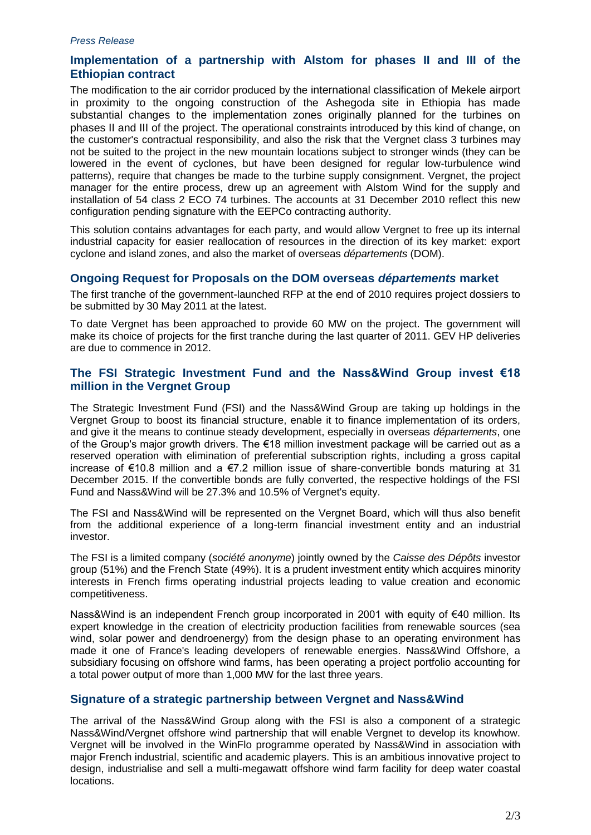#### *Press Release*

# **Implementation of a partnership with Alstom for phases II and III of the Ethiopian contract**

The modification to the air corridor produced by the international classification of Mekele airport in proximity to the ongoing construction of the Ashegoda site in Ethiopia has made substantial changes to the implementation zones originally planned for the turbines on phases II and III of the project. The operational constraints introduced by this kind of change, on the customer's contractual responsibility, and also the risk that the Vergnet class 3 turbines may not be suited to the project in the new mountain locations subject to stronger winds (they can be lowered in the event of cyclones, but have been designed for regular low-turbulence wind patterns), require that changes be made to the turbine supply consignment. Vergnet, the project manager for the entire process, drew up an agreement with Alstom Wind for the supply and installation of 54 class 2 ECO 74 turbines. The accounts at 31 December 2010 reflect this new configuration pending signature with the EEPCo contracting authority.

This solution contains advantages for each party, and would allow Vergnet to free up its internal industrial capacity for easier reallocation of resources in the direction of its key market: export cyclone and island zones, and also the market of overseas *départements* (DOM).

### **Ongoing Request for Proposals on the DOM overseas** *départements* **market**

The first tranche of the government-launched RFP at the end of 2010 requires project dossiers to be submitted by 30 May 2011 at the latest.

To date Vergnet has been approached to provide 60 MW on the project. The government will make its choice of projects for the first tranche during the last quarter of 2011. GEV HP deliveries are due to commence in 2012.

# **The FSI Strategic Investment Fund and the Nass&Wind Group invest €18 million in the Vergnet Group**

The Strategic Investment Fund (FSI) and the Nass&Wind Group are taking up holdings in the Vergnet Group to boost its financial structure, enable it to finance implementation of its orders, and give it the means to continue steady development, especially in overseas *départements*, one of the Group's major growth drivers. The €18 million investment package will be carried out as a reserved operation with elimination of preferential subscription rights, including a gross capital increase of €10.8 million and a €7.2 million issue of share-convertible bonds maturing at 31 December 2015. If the convertible bonds are fully converted, the respective holdings of the FSI Fund and Nass&Wind will be 27.3% and 10.5% of Vergnet's equity.

The FSI and Nass&Wind will be represented on the Vergnet Board, which will thus also benefit from the additional experience of a long-term financial investment entity and an industrial investor.

The FSI is a limited company (*société anonyme*) jointly owned by the *Caisse des Dépôts* investor group (51%) and the French State (49%). It is a prudent investment entity which acquires minority interests in French firms operating industrial projects leading to value creation and economic competitiveness.

Nass&Wind is an independent French group incorporated in 2001 with equity of €40 million. Its expert knowledge in the creation of electricity production facilities from renewable sources (sea wind, solar power and dendroenergy) from the design phase to an operating environment has made it one of France's leading developers of renewable energies. Nass&Wind Offshore, a subsidiary focusing on offshore wind farms, has been operating a project portfolio accounting for a total power output of more than 1,000 MW for the last three years.

# **Signature of a strategic partnership between Vergnet and Nass&Wind**

The arrival of the Nass&Wind Group along with the FSI is also a component of a strategic Nass&Wind/Vergnet offshore wind partnership that will enable Vergnet to develop its knowhow. Vergnet will be involved in the WinFlo programme operated by Nass&Wind in association with major French industrial, scientific and academic players. This is an ambitious innovative project to design, industrialise and sell a multi-megawatt offshore wind farm facility for deep water coastal locations.